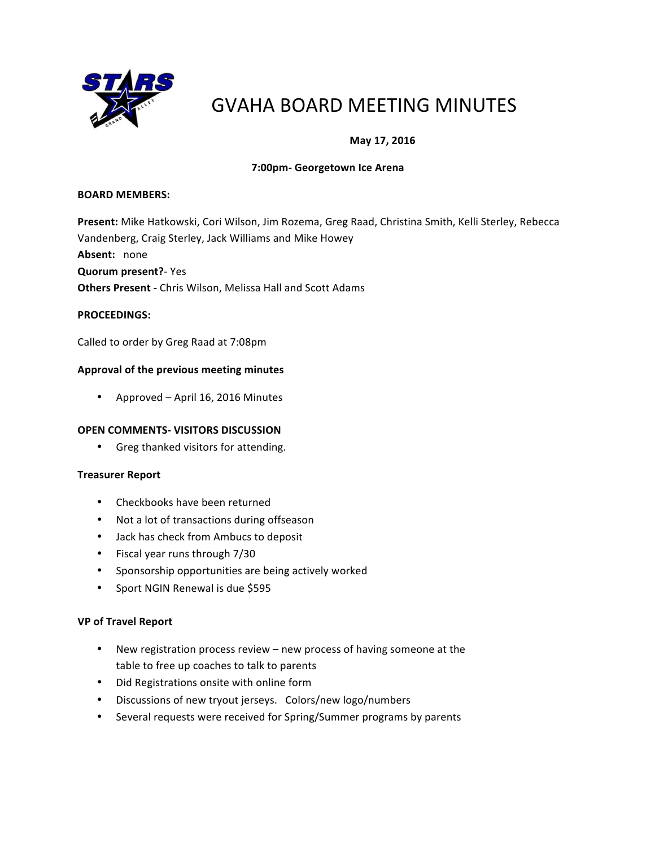

# GVAHA BOARD MEETING MINUTES

# **May 17, 2016**

## **7:00pm- Georgetown Ice Arena**

#### **BOARD MEMBERS:**

Present: Mike Hatkowski, Cori Wilson, Jim Rozema, Greg Raad, Christina Smith, Kelli Sterley, Rebecca Vandenberg, Craig Sterley, Jack Williams and Mike Howey Absent: none **Quorum present?**- Yes **Others Present - Chris Wilson, Melissa Hall and Scott Adams** 

## **PROCEEDINGS:**

Called to order by Greg Raad at 7:08pm

## Approval of the previous meeting minutes

• Approved – April 16, 2016 Minutes

#### **OPEN COMMENTS- VISITORS DISCUSSION**

• Greg thanked visitors for attending.

#### **Treasurer Report**

- Checkbooks have been returned
- Not a lot of transactions during offseason
- Jack has check from Ambucs to deposit
- Fiscal year runs through 7/30
- Sponsorship opportunities are being actively worked
- Sport NGIN Renewal is due \$595

#### **VP of Travel Report**

- New registration process review new process of having someone at the table to free up coaches to talk to parents
- Did Registrations onsite with online form
- Discussions of new tryout jerseys. Colors/new logo/numbers
- Several requests were received for Spring/Summer programs by parents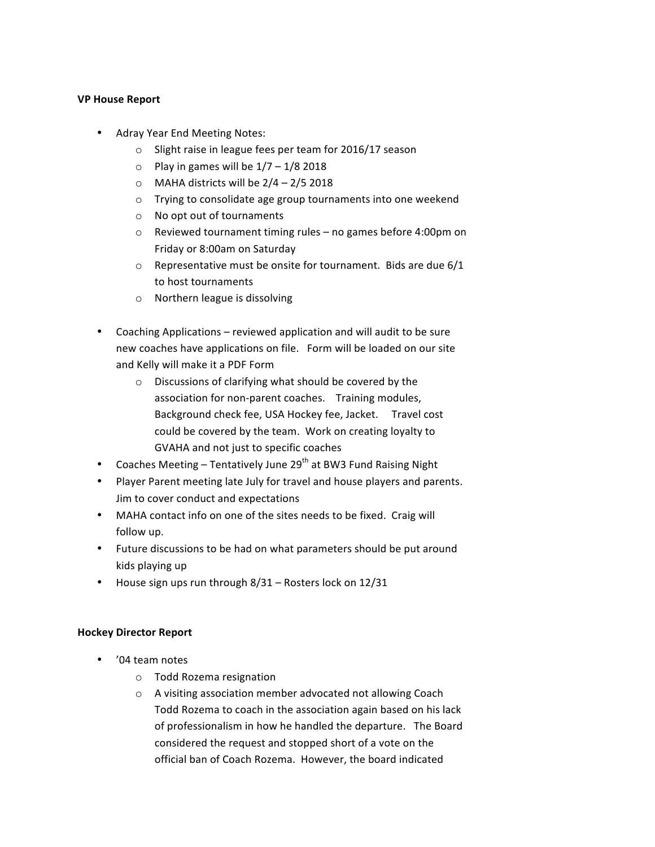## **VP House Report**

- Adray Year End Meeting Notes:
	- $\circ$  Slight raise in league fees per team for 2016/17 season
	- $\circ$  Play in games will be  $1/7 1/8$  2018
	- $\circ$  MAHA districts will be  $2/4 2/5$  2018
	- $\circ$  Trying to consolidate age group tournaments into one weekend
	- o No opt out of tournaments
	- $\circ$  Reviewed tournament timing rules no games before 4:00pm on Friday or 8:00am on Saturday
	- $\circ$  Representative must be onsite for tournament. Bids are due 6/1 to host tournaments
	- $\circ$  Northern league is dissolving
- Coaching Applications reviewed application and will audit to be sure new coaches have applications on file. Form will be loaded on our site and Kelly will make it a PDF Form
	- $\circ$  Discussions of clarifying what should be covered by the association for non-parent coaches. Training modules, Background check fee, USA Hockey fee, Jacket. Travel cost could be covered by the team. Work on creating loyalty to GVAHA and not just to specific coaches
- Coaches Meeting Tentatively June  $29^{th}$  at BW3 Fund Raising Night
- Player Parent meeting late July for travel and house players and parents. Jim to cover conduct and expectations
- MAHA contact info on one of the sites needs to be fixed. Craig will follow up.
- Future discussions to be had on what parameters should be put around kids playing up
- House sign ups run through  $8/31$  Rosters lock on  $12/31$

## **Hockey Director Report**

- '04 team notes
	- o Todd Rozema resignation
	- o A visiting association member advocated not allowing Coach Todd Rozema to coach in the association again based on his lack of professionalism in how he handled the departure. The Board considered the request and stopped short of a vote on the official ban of Coach Rozema. However, the board indicated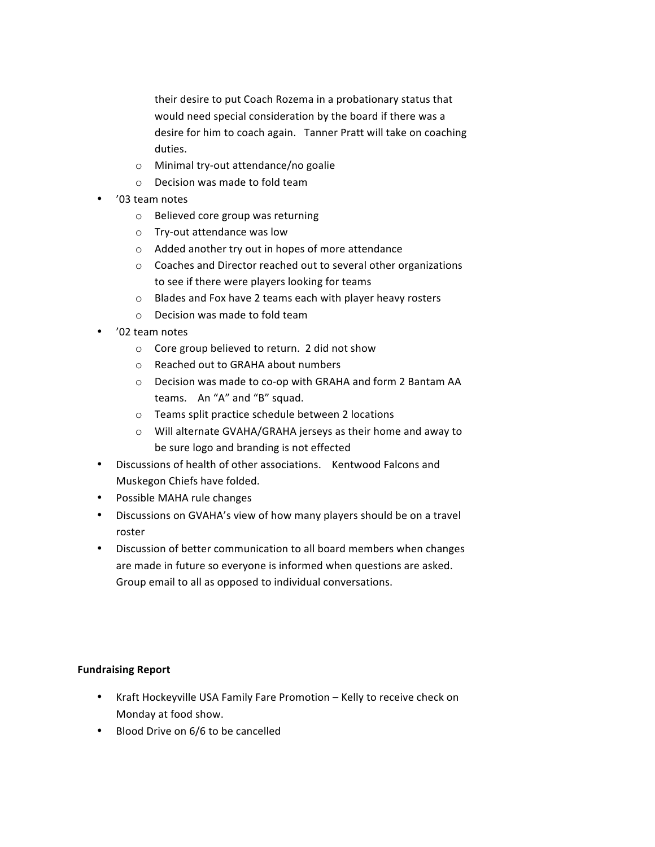their desire to put Coach Rozema in a probationary status that would need special consideration by the board if there was a desire for him to coach again. Tanner Pratt will take on coaching duties.

- $\circ$  Minimal try-out attendance/no goalie
- $\circ$  Decision was made to fold team
- '03 team notes
	- o Believed core group was returning
	- o Try-out attendance was low
	- $\circ$  Added another try out in hopes of more attendance
	- $\circ$  Coaches and Director reached out to several other organizations to see if there were players looking for teams
	- o Blades and Fox have 2 teams each with player heavy rosters
	- $\circ$  Decision was made to fold team
- '02 team notes
	- $\circ$  Core group believed to return. 2 did not show
	- o Reached out to GRAHA about numbers
	- o Decision was made to co-op with GRAHA and form 2 Bantam AA teams. An "A" and "B" squad.
	- $\circ$  Teams split practice schedule between 2 locations
	- $\circ$  Will alternate GVAHA/GRAHA jerseys as their home and away to be sure logo and branding is not effected
- Discussions of health of other associations. Kentwood Falcons and Muskegon Chiefs have folded.
- Possible MAHA rule changes
- Discussions on GVAHA's view of how many players should be on a travel roster
- Discussion of better communication to all board members when changes are made in future so everyone is informed when questions are asked. Group email to all as opposed to individual conversations.

## **Fundraising Report**

- Kraft Hockeyville USA Family Fare Promotion Kelly to receive check on Monday at food show.
- Blood Drive on 6/6 to be cancelled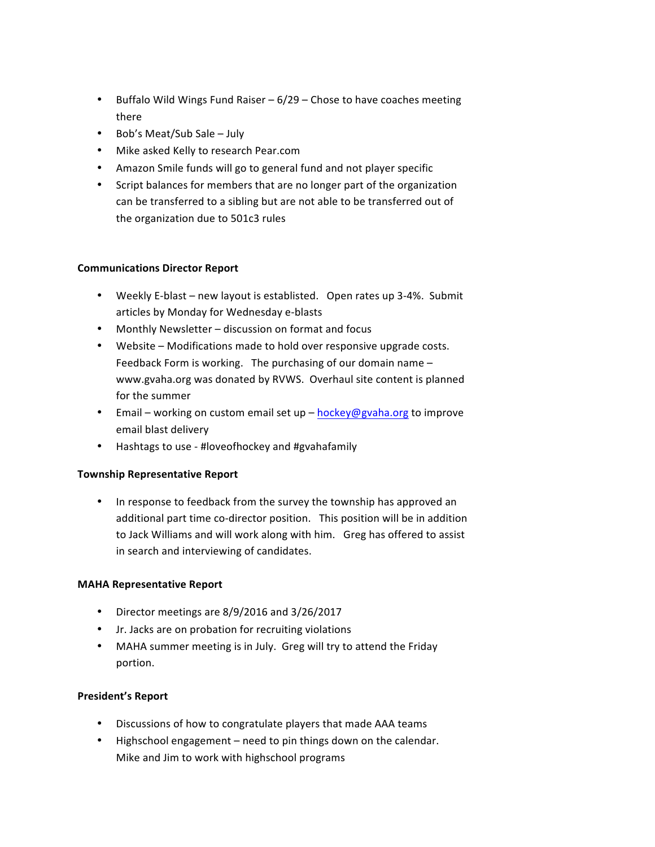- Buffalo Wild Wings Fund Raiser  $-6/29$  Chose to have coaches meeting there
- Bob's Meat/Sub Sale  $-$  July
- Mike asked Kelly to research Pear.com
- Amazon Smile funds will go to general fund and not player specific
- Script balances for members that are no longer part of the organization can be transferred to a sibling but are not able to be transferred out of the organization due to 501c3 rules

## **Communications Director Report**

- Weekly E-blast new layout is establisted. Open rates up 3-4%. Submit articles by Monday for Wednesday e-blasts
- Monthly Newsletter discussion on format and focus
- Website Modifications made to hold over responsive upgrade costs. Feedback Form is working. The purchasing of our domain name  $$ www.gvaha.org was donated by RVWS. Overhaul site content is planned for the summer
- Email working on custom email set up [hockey@gvaha.org](mailto:hockey@gvaha.org) to improve email blast delivery
- Hashtags to use #loveofhockey and #gvahafamily

## **Township Representative Report**

• In response to feedback from the survey the township has approved an additional part time co-director position. This position will be in addition to Jack Williams and will work along with him. Greg has offered to assist in search and interviewing of candidates.

## **MAHA Representative Report**

- Director meetings are 8/9/2016 and 3/26/2017
- Jr. Jacks are on probation for recruiting violations
- MAHA summer meeting is in July. Greg will try to attend the Friday portion.

## **President's Report**

- Discussions of how to congratulate players that made AAA teams
- Highschool engagement need to pin things down on the calendar. Mike and Jim to work with highschool programs